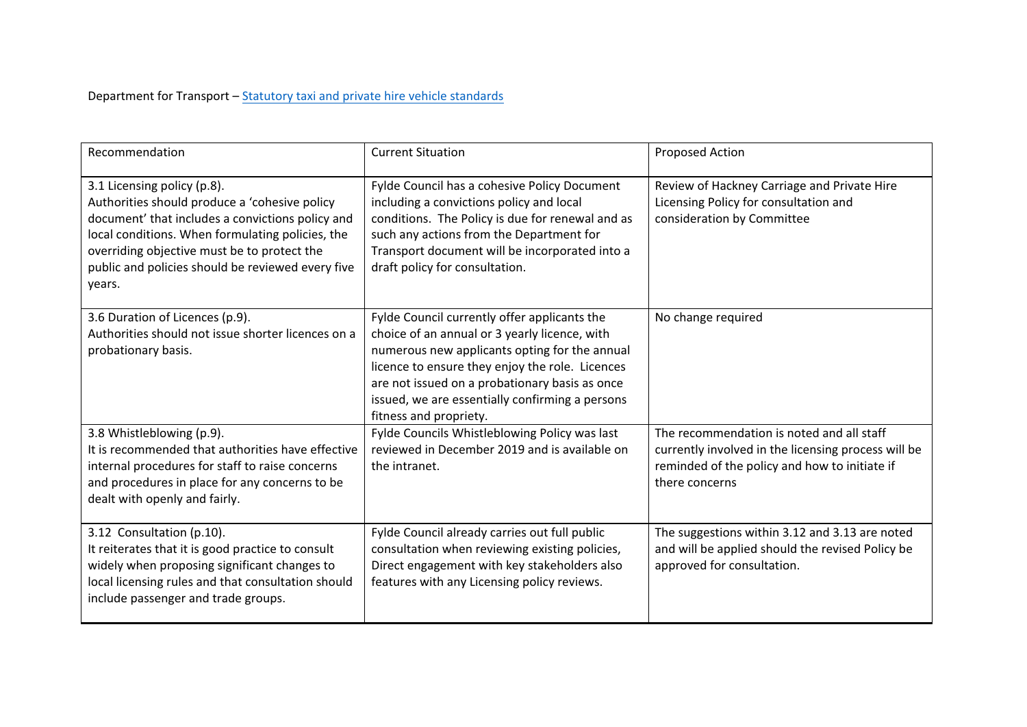Department for Transport – Statutory taxi and private hire vehicle [standards](https://www.gov.uk/government/publications/statutory-taxi-and-private-hire-vehicle-standards)

| Recommendation                                                                                                                                                                                                                                                                                     | <b>Current Situation</b>                                                                                                                                                                                                                                                                                                         | <b>Proposed Action</b>                                                                                                                                              |
|----------------------------------------------------------------------------------------------------------------------------------------------------------------------------------------------------------------------------------------------------------------------------------------------------|----------------------------------------------------------------------------------------------------------------------------------------------------------------------------------------------------------------------------------------------------------------------------------------------------------------------------------|---------------------------------------------------------------------------------------------------------------------------------------------------------------------|
| 3.1 Licensing policy (p.8).<br>Authorities should produce a 'cohesive policy<br>document' that includes a convictions policy and<br>local conditions. When formulating policies, the<br>overriding objective must be to protect the<br>public and policies should be reviewed every five<br>years. | Fylde Council has a cohesive Policy Document<br>including a convictions policy and local<br>conditions. The Policy is due for renewal and as<br>such any actions from the Department for<br>Transport document will be incorporated into a<br>draft policy for consultation.                                                     | Review of Hackney Carriage and Private Hire<br>Licensing Policy for consultation and<br>consideration by Committee                                                  |
| 3.6 Duration of Licences (p.9).<br>Authorities should not issue shorter licences on a<br>probationary basis.                                                                                                                                                                                       | Fylde Council currently offer applicants the<br>choice of an annual or 3 yearly licence, with<br>numerous new applicants opting for the annual<br>licence to ensure they enjoy the role. Licences<br>are not issued on a probationary basis as once<br>issued, we are essentially confirming a persons<br>fitness and propriety. | No change required                                                                                                                                                  |
| 3.8 Whistleblowing (p.9).<br>It is recommended that authorities have effective<br>internal procedures for staff to raise concerns<br>and procedures in place for any concerns to be<br>dealt with openly and fairly.                                                                               | Fylde Councils Whistleblowing Policy was last<br>reviewed in December 2019 and is available on<br>the intranet.                                                                                                                                                                                                                  | The recommendation is noted and all staff<br>currently involved in the licensing process will be<br>reminded of the policy and how to initiate if<br>there concerns |
| 3.12 Consultation (p.10).<br>It reiterates that it is good practice to consult<br>widely when proposing significant changes to<br>local licensing rules and that consultation should<br>include passenger and trade groups.                                                                        | Fylde Council already carries out full public<br>consultation when reviewing existing policies,<br>Direct engagement with key stakeholders also<br>features with any Licensing policy reviews.                                                                                                                                   | The suggestions within 3.12 and 3.13 are noted<br>and will be applied should the revised Policy be<br>approved for consultation.                                    |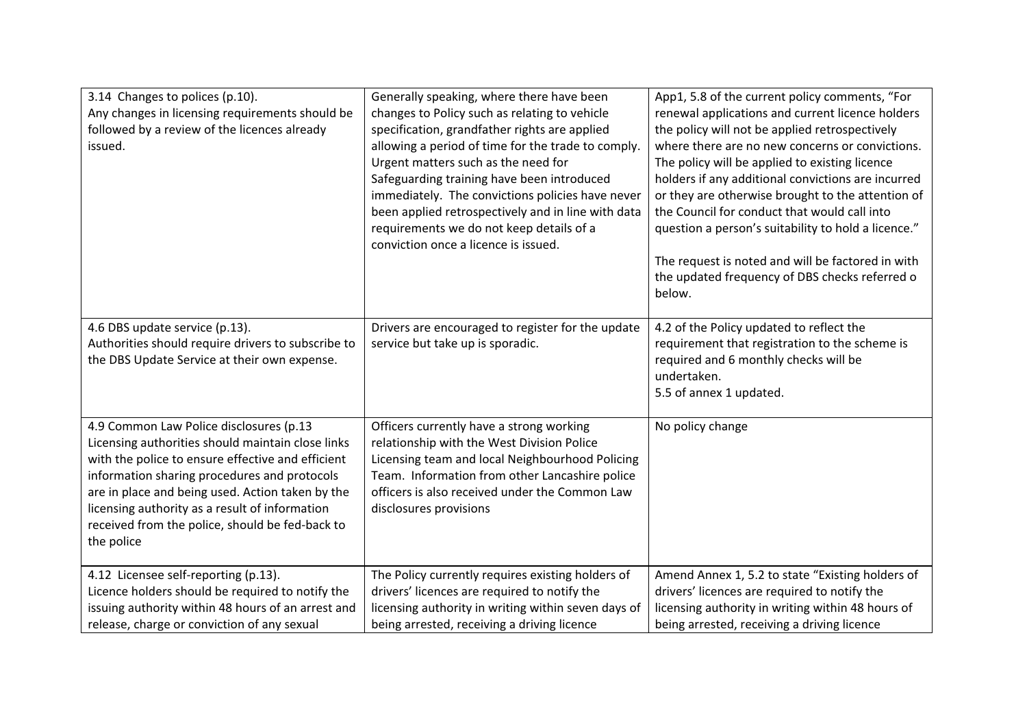| 3.14 Changes to polices (p.10).<br>Any changes in licensing requirements should be<br>followed by a review of the licences already<br>issued.                                                                                                                                                                                                                            | Generally speaking, where there have been<br>changes to Policy such as relating to vehicle<br>specification, grandfather rights are applied<br>allowing a period of time for the trade to comply.<br>Urgent matters such as the need for<br>Safeguarding training have been introduced<br>immediately. The convictions policies have never<br>been applied retrospectively and in line with data | App1, 5.8 of the current policy comments, "For<br>renewal applications and current licence holders<br>the policy will not be applied retrospectively<br>where there are no new concerns or convictions.<br>The policy will be applied to existing licence<br>holders if any additional convictions are incurred<br>or they are otherwise brought to the attention of<br>the Council for conduct that would call into |
|--------------------------------------------------------------------------------------------------------------------------------------------------------------------------------------------------------------------------------------------------------------------------------------------------------------------------------------------------------------------------|--------------------------------------------------------------------------------------------------------------------------------------------------------------------------------------------------------------------------------------------------------------------------------------------------------------------------------------------------------------------------------------------------|----------------------------------------------------------------------------------------------------------------------------------------------------------------------------------------------------------------------------------------------------------------------------------------------------------------------------------------------------------------------------------------------------------------------|
|                                                                                                                                                                                                                                                                                                                                                                          | requirements we do not keep details of a<br>conviction once a licence is issued.                                                                                                                                                                                                                                                                                                                 | question a person's suitability to hold a licence."<br>The request is noted and will be factored in with<br>the updated frequency of DBS checks referred o<br>below.                                                                                                                                                                                                                                                 |
| 4.6 DBS update service (p.13).<br>Authorities should require drivers to subscribe to<br>the DBS Update Service at their own expense.                                                                                                                                                                                                                                     | Drivers are encouraged to register for the update<br>service but take up is sporadic.                                                                                                                                                                                                                                                                                                            | 4.2 of the Policy updated to reflect the<br>requirement that registration to the scheme is<br>required and 6 monthly checks will be<br>undertaken.<br>5.5 of annex 1 updated.                                                                                                                                                                                                                                        |
| 4.9 Common Law Police disclosures (p.13<br>Licensing authorities should maintain close links<br>with the police to ensure effective and efficient<br>information sharing procedures and protocols<br>are in place and being used. Action taken by the<br>licensing authority as a result of information<br>received from the police, should be fed-back to<br>the police | Officers currently have a strong working<br>relationship with the West Division Police<br>Licensing team and local Neighbourhood Policing<br>Team. Information from other Lancashire police<br>officers is also received under the Common Law<br>disclosures provisions                                                                                                                          | No policy change                                                                                                                                                                                                                                                                                                                                                                                                     |
| 4.12 Licensee self-reporting (p.13).<br>Licence holders should be required to notify the<br>issuing authority within 48 hours of an arrest and<br>release, charge or conviction of any sexual                                                                                                                                                                            | The Policy currently requires existing holders of<br>drivers' licences are required to notify the<br>licensing authority in writing within seven days of<br>being arrested, receiving a driving licence                                                                                                                                                                                          | Amend Annex 1, 5.2 to state "Existing holders of<br>drivers' licences are required to notify the<br>licensing authority in writing within 48 hours of<br>being arrested, receiving a driving licence                                                                                                                                                                                                                 |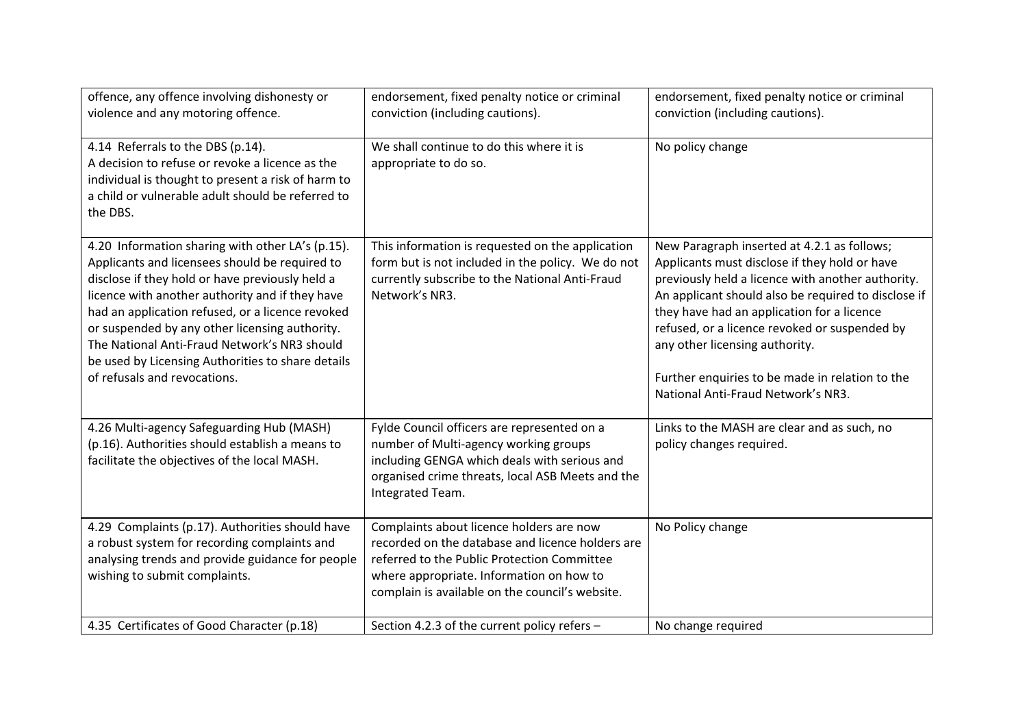| offence, any offence involving dishonesty or<br>violence and any motoring offence.                                                                                                                                                                                                                                                                                                                                                                  | endorsement, fixed penalty notice or criminal<br>conviction (including cautions).                                                                                                                                                          | endorsement, fixed penalty notice or criminal<br>conviction (including cautions).                                                                                                                                                                                                                                                                                                                                                  |
|-----------------------------------------------------------------------------------------------------------------------------------------------------------------------------------------------------------------------------------------------------------------------------------------------------------------------------------------------------------------------------------------------------------------------------------------------------|--------------------------------------------------------------------------------------------------------------------------------------------------------------------------------------------------------------------------------------------|------------------------------------------------------------------------------------------------------------------------------------------------------------------------------------------------------------------------------------------------------------------------------------------------------------------------------------------------------------------------------------------------------------------------------------|
| 4.14 Referrals to the DBS (p.14).<br>A decision to refuse or revoke a licence as the<br>individual is thought to present a risk of harm to<br>a child or vulnerable adult should be referred to<br>the DBS.                                                                                                                                                                                                                                         | We shall continue to do this where it is<br>appropriate to do so.                                                                                                                                                                          | No policy change                                                                                                                                                                                                                                                                                                                                                                                                                   |
| 4.20 Information sharing with other LA's (p.15).<br>Applicants and licensees should be required to<br>disclose if they hold or have previously held a<br>licence with another authority and if they have<br>had an application refused, or a licence revoked<br>or suspended by any other licensing authority.<br>The National Anti-Fraud Network's NR3 should<br>be used by Licensing Authorities to share details<br>of refusals and revocations. | This information is requested on the application<br>form but is not included in the policy. We do not<br>currently subscribe to the National Anti-Fraud<br>Network's NR3.                                                                  | New Paragraph inserted at 4.2.1 as follows;<br>Applicants must disclose if they hold or have<br>previously held a licence with another authority.<br>An applicant should also be required to disclose if<br>they have had an application for a licence<br>refused, or a licence revoked or suspended by<br>any other licensing authority.<br>Further enquiries to be made in relation to the<br>National Anti-Fraud Network's NR3. |
| 4.26 Multi-agency Safeguarding Hub (MASH)<br>(p.16). Authorities should establish a means to<br>facilitate the objectives of the local MASH.                                                                                                                                                                                                                                                                                                        | Fylde Council officers are represented on a<br>number of Multi-agency working groups<br>including GENGA which deals with serious and<br>organised crime threats, local ASB Meets and the<br>Integrated Team.                               | Links to the MASH are clear and as such, no<br>policy changes required.                                                                                                                                                                                                                                                                                                                                                            |
| 4.29 Complaints (p.17). Authorities should have<br>a robust system for recording complaints and<br>analysing trends and provide guidance for people<br>wishing to submit complaints.                                                                                                                                                                                                                                                                | Complaints about licence holders are now<br>recorded on the database and licence holders are<br>referred to the Public Protection Committee<br>where appropriate. Information on how to<br>complain is available on the council's website. | No Policy change                                                                                                                                                                                                                                                                                                                                                                                                                   |
| 4.35 Certificates of Good Character (p.18)                                                                                                                                                                                                                                                                                                                                                                                                          | Section 4.2.3 of the current policy refers -                                                                                                                                                                                               | No change required                                                                                                                                                                                                                                                                                                                                                                                                                 |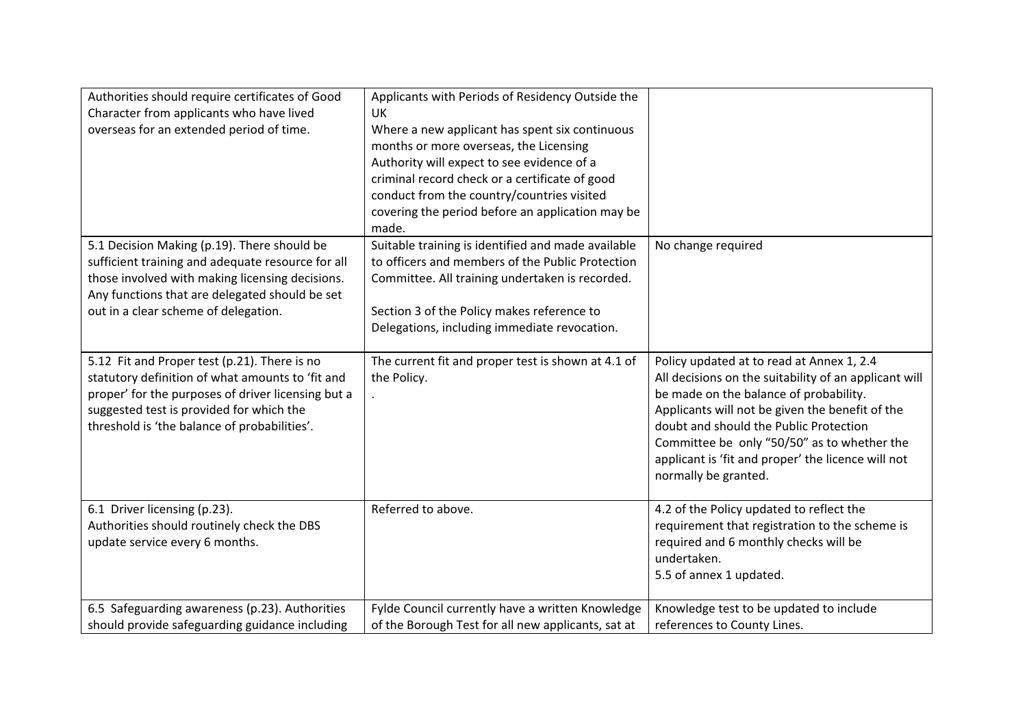| Authorities should require certificates of Good<br>Character from applicants who have lived<br>overseas for an extended period of time.                                                                                                            | Applicants with Periods of Residency Outside the<br><b>UK</b><br>Where a new applicant has spent six continuous<br>months or more overseas, the Licensing<br>Authority will expect to see evidence of a<br>criminal record check or a certificate of good<br>conduct from the country/countries visited<br>covering the period before an application may be<br>made. |                                                                                                                                                                                                                                                                                                                                                                        |
|----------------------------------------------------------------------------------------------------------------------------------------------------------------------------------------------------------------------------------------------------|----------------------------------------------------------------------------------------------------------------------------------------------------------------------------------------------------------------------------------------------------------------------------------------------------------------------------------------------------------------------|------------------------------------------------------------------------------------------------------------------------------------------------------------------------------------------------------------------------------------------------------------------------------------------------------------------------------------------------------------------------|
| 5.1 Decision Making (p.19). There should be<br>sufficient training and adequate resource for all<br>those involved with making licensing decisions.<br>Any functions that are delegated should be set<br>out in a clear scheme of delegation.      | Suitable training is identified and made available<br>to officers and members of the Public Protection<br>Committee. All training undertaken is recorded.<br>Section 3 of the Policy makes reference to<br>Delegations, including immediate revocation.                                                                                                              | No change required                                                                                                                                                                                                                                                                                                                                                     |
| 5.12 Fit and Proper test (p.21). There is no<br>statutory definition of what amounts to 'fit and<br>proper' for the purposes of driver licensing but a<br>suggested test is provided for which the<br>threshold is 'the balance of probabilities'. | The current fit and proper test is shown at 4.1 of<br>the Policy.                                                                                                                                                                                                                                                                                                    | Policy updated at to read at Annex 1, 2.4<br>All decisions on the suitability of an applicant will<br>be made on the balance of probability.<br>Applicants will not be given the benefit of the<br>doubt and should the Public Protection<br>Committee be only "50/50" as to whether the<br>applicant is 'fit and proper' the licence will not<br>normally be granted. |
| 6.1 Driver licensing (p.23).<br>Authorities should routinely check the DBS<br>update service every 6 months.                                                                                                                                       | Referred to above.                                                                                                                                                                                                                                                                                                                                                   | 4.2 of the Policy updated to reflect the<br>requirement that registration to the scheme is<br>required and 6 monthly checks will be<br>undertaken.<br>5.5 of annex 1 updated.                                                                                                                                                                                          |
| 6.5 Safeguarding awareness (p.23). Authorities<br>should provide safeguarding guidance including                                                                                                                                                   | Fylde Council currently have a written Knowledge<br>of the Borough Test for all new applicants, sat at                                                                                                                                                                                                                                                               | Knowledge test to be updated to include<br>references to County Lines.                                                                                                                                                                                                                                                                                                 |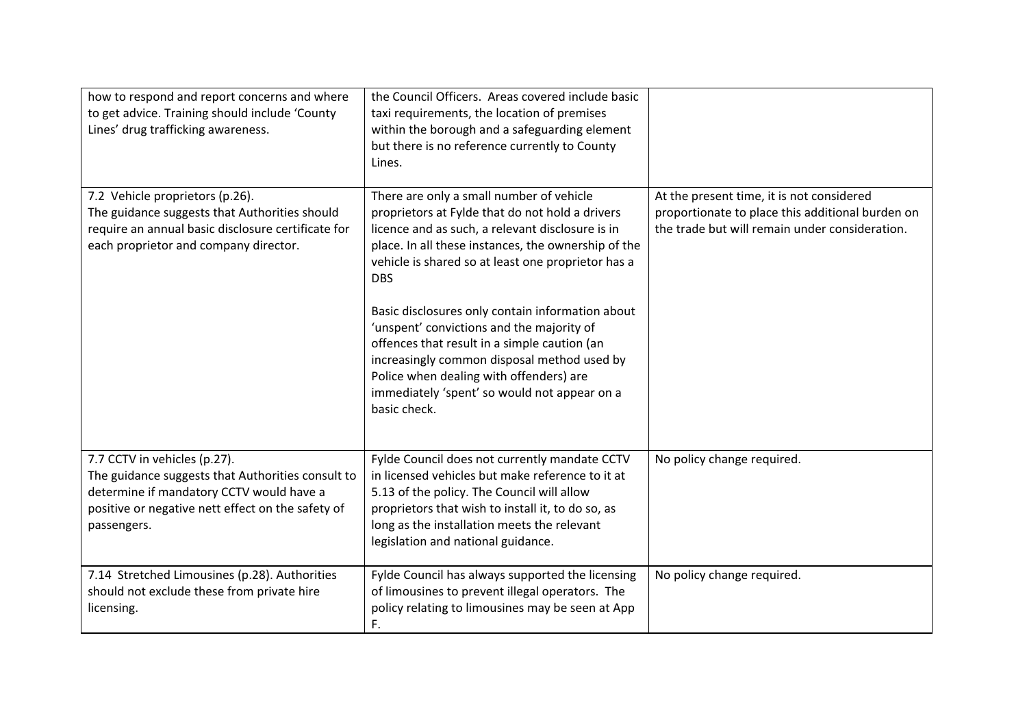| how to respond and report concerns and where<br>to get advice. Training should include 'County<br>Lines' drug trafficking awareness.                                                              | the Council Officers. Areas covered include basic<br>taxi requirements, the location of premises<br>within the borough and a safeguarding element<br>but there is no reference currently to County<br>Lines.                                                                                                                                                                                                                                                                                                                                                                          |                                                                                                                                                 |
|---------------------------------------------------------------------------------------------------------------------------------------------------------------------------------------------------|---------------------------------------------------------------------------------------------------------------------------------------------------------------------------------------------------------------------------------------------------------------------------------------------------------------------------------------------------------------------------------------------------------------------------------------------------------------------------------------------------------------------------------------------------------------------------------------|-------------------------------------------------------------------------------------------------------------------------------------------------|
| 7.2 Vehicle proprietors (p.26).<br>The guidance suggests that Authorities should<br>require an annual basic disclosure certificate for<br>each proprietor and company director.                   | There are only a small number of vehicle<br>proprietors at Fylde that do not hold a drivers<br>licence and as such, a relevant disclosure is in<br>place. In all these instances, the ownership of the<br>vehicle is shared so at least one proprietor has a<br><b>DBS</b><br>Basic disclosures only contain information about<br>'unspent' convictions and the majority of<br>offences that result in a simple caution (an<br>increasingly common disposal method used by<br>Police when dealing with offenders) are<br>immediately 'spent' so would not appear on a<br>basic check. | At the present time, it is not considered<br>proportionate to place this additional burden on<br>the trade but will remain under consideration. |
| 7.7 CCTV in vehicles (p.27).<br>The guidance suggests that Authorities consult to<br>determine if mandatory CCTV would have a<br>positive or negative nett effect on the safety of<br>passengers. | Fylde Council does not currently mandate CCTV<br>in licensed vehicles but make reference to it at<br>5.13 of the policy. The Council will allow<br>proprietors that wish to install it, to do so, as<br>long as the installation meets the relevant<br>legislation and national guidance.                                                                                                                                                                                                                                                                                             | No policy change required.                                                                                                                      |
| 7.14 Stretched Limousines (p.28). Authorities<br>should not exclude these from private hire<br>licensing.                                                                                         | Fylde Council has always supported the licensing<br>of limousines to prevent illegal operators. The<br>policy relating to limousines may be seen at App<br>F.                                                                                                                                                                                                                                                                                                                                                                                                                         | No policy change required.                                                                                                                      |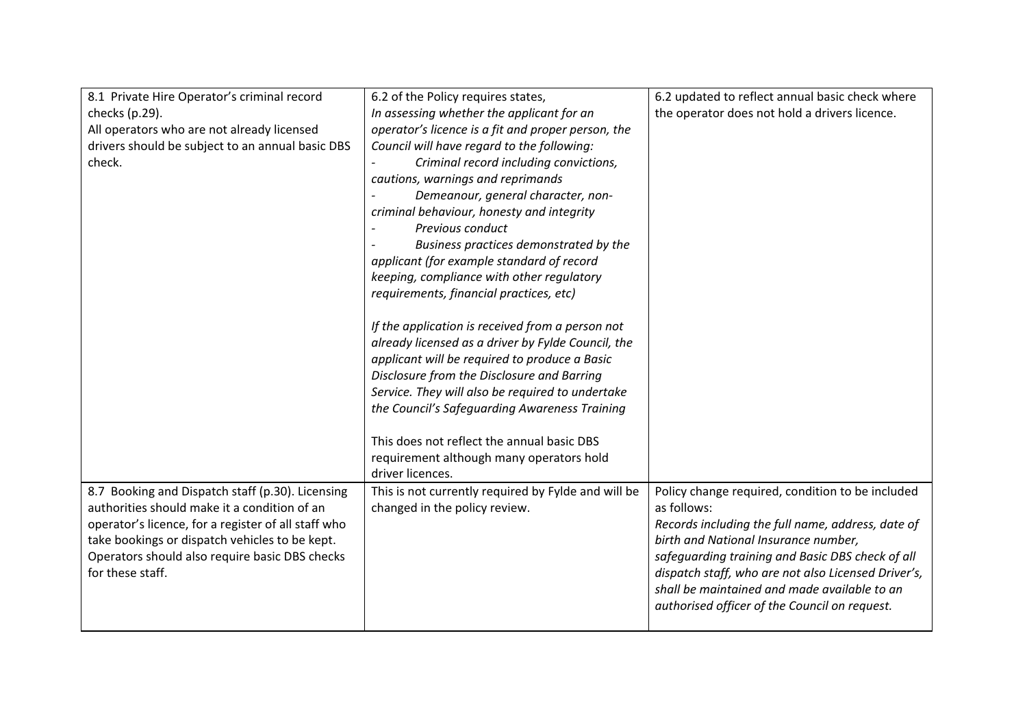| 8.1 Private Hire Operator's criminal record         | 6.2 of the Policy requires states,                  | 6.2 updated to reflect annual basic check where     |
|-----------------------------------------------------|-----------------------------------------------------|-----------------------------------------------------|
| checks (p.29).                                      | In assessing whether the applicant for an           | the operator does not hold a drivers licence.       |
| All operators who are not already licensed          | operator's licence is a fit and proper person, the  |                                                     |
| drivers should be subject to an annual basic DBS    | Council will have regard to the following:          |                                                     |
| check.                                              | Criminal record including convictions,              |                                                     |
|                                                     | cautions, warnings and reprimands                   |                                                     |
|                                                     | Demeanour, general character, non-                  |                                                     |
|                                                     | criminal behaviour, honesty and integrity           |                                                     |
|                                                     | Previous conduct                                    |                                                     |
|                                                     | Business practices demonstrated by the              |                                                     |
|                                                     | applicant (for example standard of record           |                                                     |
|                                                     | keeping, compliance with other regulatory           |                                                     |
|                                                     | requirements, financial practices, etc)             |                                                     |
|                                                     |                                                     |                                                     |
|                                                     | If the application is received from a person not    |                                                     |
|                                                     | already licensed as a driver by Fylde Council, the  |                                                     |
|                                                     | applicant will be required to produce a Basic       |                                                     |
|                                                     | Disclosure from the Disclosure and Barring          |                                                     |
|                                                     | Service. They will also be required to undertake    |                                                     |
|                                                     | the Council's Safeguarding Awareness Training       |                                                     |
|                                                     |                                                     |                                                     |
|                                                     | This does not reflect the annual basic DBS          |                                                     |
|                                                     | requirement although many operators hold            |                                                     |
|                                                     | driver licences.                                    |                                                     |
| 8.7 Booking and Dispatch staff (p.30). Licensing    | This is not currently required by Fylde and will be | Policy change required, condition to be included    |
| authorities should make it a condition of an        | changed in the policy review.                       | as follows:                                         |
| operator's licence, for a register of all staff who |                                                     | Records including the full name, address, date of   |
| take bookings or dispatch vehicles to be kept.      |                                                     | birth and National Insurance number,                |
| Operators should also require basic DBS checks      |                                                     | safeguarding training and Basic DBS check of all    |
| for these staff.                                    |                                                     | dispatch staff, who are not also Licensed Driver's, |
|                                                     |                                                     | shall be maintained and made available to an        |
|                                                     |                                                     | authorised officer of the Council on request.       |
|                                                     |                                                     |                                                     |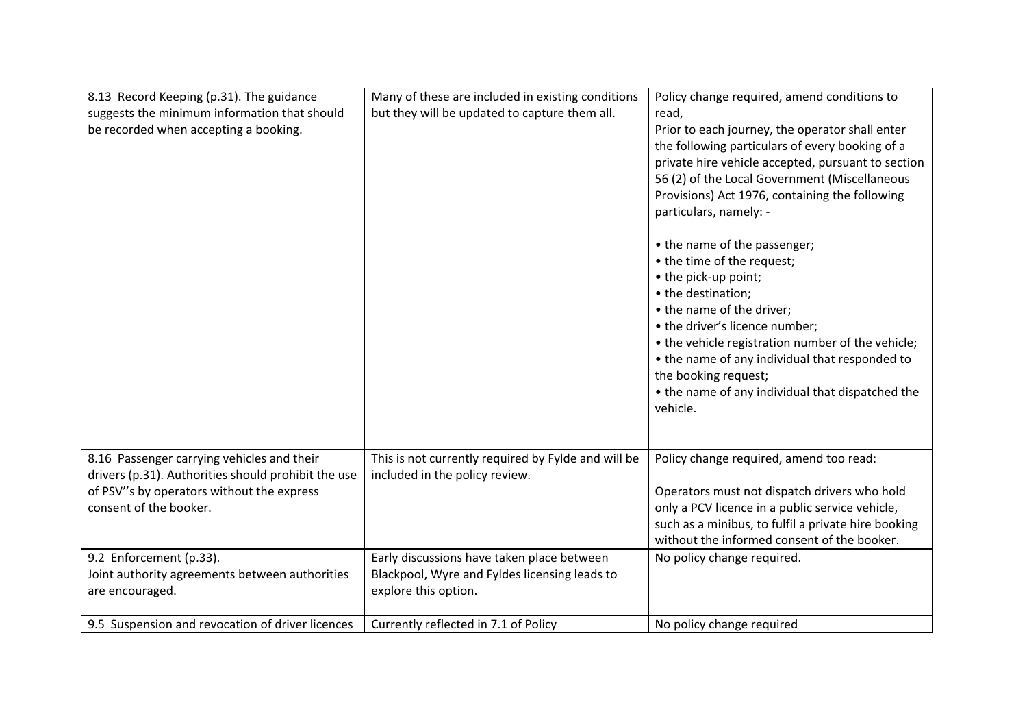| 8.13 Record Keeping (p.31). The guidance<br>suggests the minimum information that should<br>be recorded when accepting a booking.                                        | Many of these are included in existing conditions<br>but they will be updated to capture them all.                  | Policy change required, amend conditions to<br>read,<br>Prior to each journey, the operator shall enter<br>the following particulars of every booking of a<br>private hire vehicle accepted, pursuant to section<br>56 (2) of the Local Government (Miscellaneous<br>Provisions) Act 1976, containing the following<br>particulars, namely: -<br>• the name of the passenger;<br>• the time of the request;<br>• the pick-up point;<br>• the destination;<br>• the name of the driver;<br>• the driver's licence number;<br>• the vehicle registration number of the vehicle;<br>• the name of any individual that responded to<br>the booking request;<br>• the name of any individual that dispatched the<br>vehicle. |
|--------------------------------------------------------------------------------------------------------------------------------------------------------------------------|---------------------------------------------------------------------------------------------------------------------|-------------------------------------------------------------------------------------------------------------------------------------------------------------------------------------------------------------------------------------------------------------------------------------------------------------------------------------------------------------------------------------------------------------------------------------------------------------------------------------------------------------------------------------------------------------------------------------------------------------------------------------------------------------------------------------------------------------------------|
| 8.16 Passenger carrying vehicles and their<br>drivers (p.31). Authorities should prohibit the use<br>of PSV"s by operators without the express<br>consent of the booker. | This is not currently required by Fylde and will be<br>included in the policy review.                               | Policy change required, amend too read:<br>Operators must not dispatch drivers who hold<br>only a PCV licence in a public service vehicle,<br>such as a minibus, to fulfil a private hire booking<br>without the informed consent of the booker.                                                                                                                                                                                                                                                                                                                                                                                                                                                                        |
| 9.2 Enforcement (p.33).<br>Joint authority agreements between authorities<br>are encouraged.                                                                             | Early discussions have taken place between<br>Blackpool, Wyre and Fyldes licensing leads to<br>explore this option. | No policy change required.                                                                                                                                                                                                                                                                                                                                                                                                                                                                                                                                                                                                                                                                                              |
| 9.5 Suspension and revocation of driver licences                                                                                                                         | Currently reflected in 7.1 of Policy                                                                                | No policy change required                                                                                                                                                                                                                                                                                                                                                                                                                                                                                                                                                                                                                                                                                               |